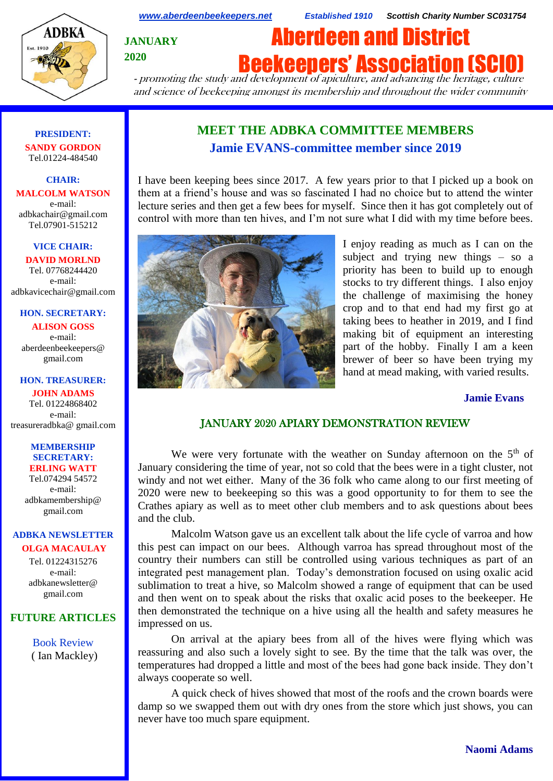

*[www.aberdeenbeekeepers.net](http://www.aberdeenbeekeepers.net/) Established 1910 Scottish Charity Number SC031754*

**JANUARY 2020**

**Beekeepers' Association (SCI** 

Aberdeen and District

- promoting the study and development of apiculture, and advancing the heritage, culture and science of beekeeping amongst its membership and throughout the wider community

#### **PRESIDENT: SANDY GORDON** Tel.01224-484540

**ADBKA** 

#### **CHAIR: MALCOLM WATSON** e-mail: adbkachair@gmail.com

Tel.07901-515212

#### **VICE CHAIR:**

**DAVID MORLND** Tel. 07768244420 e-mail: adbkavicechair@gmail.com

#### **HON. SECRETARY:**

**ALISON GOSS**  e-mail: aberdeenbeekeepers@ gmail.com

#### **HON. TREASURER:**

**JOHN ADAMS** Tel. 01224868402 e-mail: [treasureradbka@ gmail.com](https://e.mail.ru/compose/?mailto=mailto%3atreasureradbka@gmail.com)

#### **MEMBERSHIP SECRETARY: ERLING WATT**

Tel.074294 54572 e-mail: [adbkamembership@](mailto:watterlingg@aol.com) [gmail.com](mailto:watterlingg@aol.com)

# **ADBKA NEWSLETTER**

**OLGA MACAULAY** Tel. 01224315276 e-mail: adbkanewsletter@ gmail.com

## **FUTURE ARTICLES**

Book Review ( Ian Mackley)

# **MEET THE ADBKA COMMITTEE MEMBERS Jamie EVANS-committee member since 2019**

I have been keeping bees since 2017. A few years prior to that I picked up a book on them at a friend's house and was so fascinated I had no choice but to attend the winter lecture series and then get a few bees for myself. Since then it has got completely out of control with more than ten hives, and I'm not sure what I did with my time before bees.



I enjoy reading as much as I can on the subject and trying new things – so a priority has been to build up to enough stocks to try different things. I also enjoy the challenge of maximising the honey crop and to that end had my first go at taking bees to heather in 2019, and I find making bit of equipment an interesting part of the hobby. Finally I am a keen brewer of beer so have been trying my hand at mead making, with varied results.

#### **Jamie Evans**

## JANUARY 2020 APIARY DEMONSTRATION REVIEW

We were very fortunate with the weather on Sunday afternoon on the  $5<sup>th</sup>$  of January considering the time of year, not so cold that the bees were in a tight cluster, not windy and not wet either. Many of the 36 folk who came along to our first meeting of 2020 were new to beekeeping so this was a good opportunity to for them to see the Crathes apiary as well as to meet other club members and to ask questions about bees and the club.

Malcolm Watson gave us an excellent talk about the life cycle of varroa and how this pest can impact on our bees. Although varroa has spread throughout most of the country their numbers can still be controlled using various techniques as part of an integrated pest management plan. Today's demonstration focused on using oxalic acid sublimation to treat a hive, so Malcolm showed a range of equipment that can be used and then went on to speak about the risks that oxalic acid poses to the beekeeper. He then demonstrated the technique on a hive using all the health and safety measures he impressed on us.

On arrival at the apiary bees from all of the hives were flying which was reassuring and also such a lovely sight to see. By the time that the talk was over, the temperatures had dropped a little and most of the bees had gone back inside. They don't always cooperate so well.

A quick check of hives showed that most of the roofs and the crown boards were damp so we swapped them out with dry ones from the store which just shows, you can never have too much spare equipment.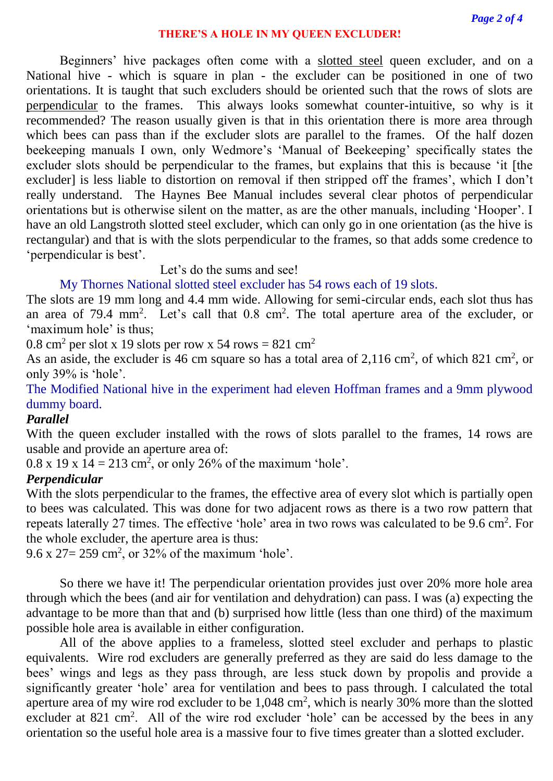#### **THERE'S A HOLE IN MY QUEEN EXCLUDER!**

Beginners' hive packages often come with a slotted steel queen excluder, and on a National hive - which is square in plan - the excluder can be positioned in one of two orientations. It is taught that such excluders should be oriented such that the rows of slots are perpendicular to the frames. This always looks somewhat counter-intuitive, so why is it recommended? The reason usually given is that in this orientation there is more area through which bees can pass than if the excluder slots are parallel to the frames. Of the half dozen beekeeping manuals I own, only Wedmore's 'Manual of Beekeeping' specifically states the excluder slots should be perpendicular to the frames, but explains that this is because 'it [the excluder] is less liable to distortion on removal if then stripped off the frames', which I don't really understand. The Haynes Bee Manual includes several clear photos of perpendicular orientations but is otherwise silent on the matter, as are the other manuals, including 'Hooper'. I have an old Langstroth slotted steel excluder, which can only go in one orientation (as the hive is rectangular) and that is with the slots perpendicular to the frames, so that adds some credence to 'perpendicular is best'.

Let's do the sums and see!

## My Thornes National slotted steel excluder has 54 rows each of 19 slots.

The slots are 19 mm long and 4.4 mm wide. Allowing for semi-circular ends, each slot thus has an area of 79.4 mm<sup>2</sup>. Let's call that  $0.8 \text{ cm}^2$ . The total aperture area of the excluder, or 'maximum hole' is thus;

0.8 cm<sup>2</sup> per slot x 19 slots per row x 54 rows = 821 cm<sup>2</sup>

As an aside, the excluder is 46 cm square so has a total area of  $2,116 \text{ cm}^2$ , of which 821 cm<sup>2</sup>, or only 39% is 'hole'.

The Modified National hive in the experiment had eleven Hoffman frames and a 9mm plywood dummy board.

## *Parallel*

With the queen excluder installed with the rows of slots parallel to the frames, 14 rows are usable and provide an aperture area of:

 $0.8 \times 19 \times 14 = 213$  cm<sup>2</sup>, or only 26% of the maximum 'hole'.

## *Perpendicular*

With the slots perpendicular to the frames, the effective area of every slot which is partially open to bees was calculated. This was done for two adjacent rows as there is a two row pattern that repeats laterally 27 times. The effective 'hole' area in two rows was calculated to be 9.6 cm<sup>2</sup>. For the whole excluder, the aperture area is thus:

 $9.6 \times 27 = 259 \text{ cm}^2$ , or 32% of the maximum 'hole'.

So there we have it! The perpendicular orientation provides just over 20% more hole area through which the bees (and air for ventilation and dehydration) can pass. I was (a) expecting the advantage to be more than that and (b) surprised how little (less than one third) of the maximum possible hole area is available in either configuration.

All of the above applies to a frameless, slotted steel excluder and perhaps to plastic equivalents. Wire rod excluders are generally preferred as they are said do less damage to the bees' wings and legs as they pass through, are less stuck down by propolis and provide a significantly greater 'hole' area for ventilation and bees to pass through. I calculated the total aperture area of my wire rod excluder to be  $1,048 \text{ cm}^2$ , which is nearly 30% more than the slotted excluder at 821 cm<sup>2</sup>. All of the wire rod excluder 'hole' can be accessed by the bees in any orientation so the useful hole area is a massive four to five times greater than a slotted excluder.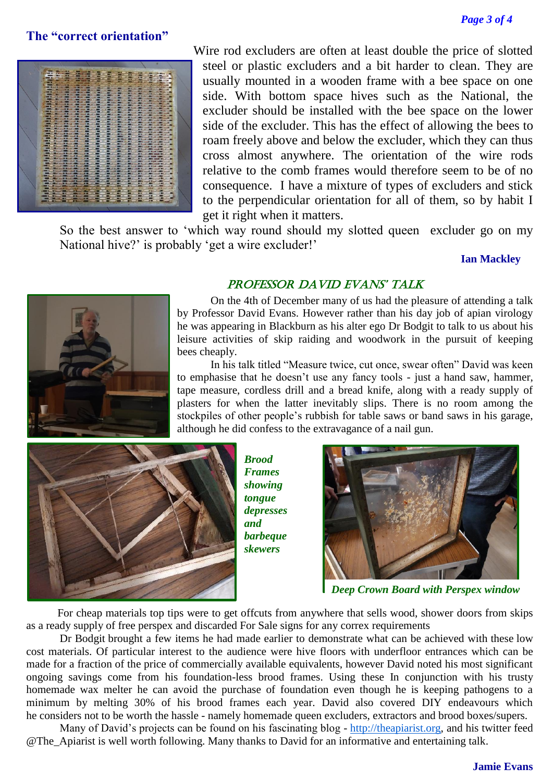## **The "correct orientation"**



Wire rod excluders are often at least double the price of slotted steel or plastic excluders and a bit harder to clean. They are usually mounted in a wooden frame with a bee space on one side. With bottom space hives such as the National, the excluder should be installed with the bee space on the lower side of the excluder. This has the effect of allowing the bees to roam freely above and below the excluder, which they can thus cross almost anywhere. The orientation of the wire rods relative to the comb frames would therefore seem to be of no consequence. I have a mixture of types of excluders and stick to the perpendicular orientation for all of them, so by habit I get it right when it matters.

So the best answer to 'which way round should my slotted queen excluder go on my National hive?' is probably 'get a wire excluder!'

#### **Ian Mackley**



#### PROFESSOR DAVID EVANS' TALK

On the 4th of December many of us had the pleasure of attending a talk by Professor David Evans. However rather than his day job of apian virology he was appearing in Blackburn as his alter ego Dr Bodgit to talk to us about his leisure activities of skip raiding and woodwork in the pursuit of keeping bees cheaply.

In his talk titled "Measure twice, cut once, swear often" David was keen to emphasise that he doesn't use any fancy tools - just a hand saw, hammer, tape measure, cordless drill and a bread knife, along with a ready supply of plasters for when the latter inevitably slips. There is no room among the stockpiles of other people's rubbish for table saws or band saws in his garage, although he did confess to the extravagance of a nail gun.



*Brood Frames showing tongue depresses and barbeque skewers*



*Deep Crown Board with Perspex window*

 For cheap materials top tips were to get offcuts from anywhere that sells wood, shower doors from skips as a ready supply of free perspex and discarded For Sale signs for any correx requirements

Dr Bodgit brought a few items he had made earlier to demonstrate what can be achieved with these low cost materials. Of particular interest to the audience were hive floors with underfloor entrances which can be made for a fraction of the price of commercially available equivalents, however David noted his most significant ongoing savings come from his foundation-less brood frames. Using these In conjunction with his trusty homemade wax melter he can avoid the purchase of foundation even though he is keeping pathogens to a minimum by melting 30% of his brood frames each year. David also covered DIY endeavours which he considers not to be worth the hassle - namely homemade queen excluders, extractors and brood boxes/supers.

Many of David's projects can be found on his fascinating blog - [http://theapiarist.org,](http://theapiarist.org/) and his twitter feed @The\_Apiarist is well worth following. Many thanks to David for an informative and entertaining talk.

#### **Jamie Evans**